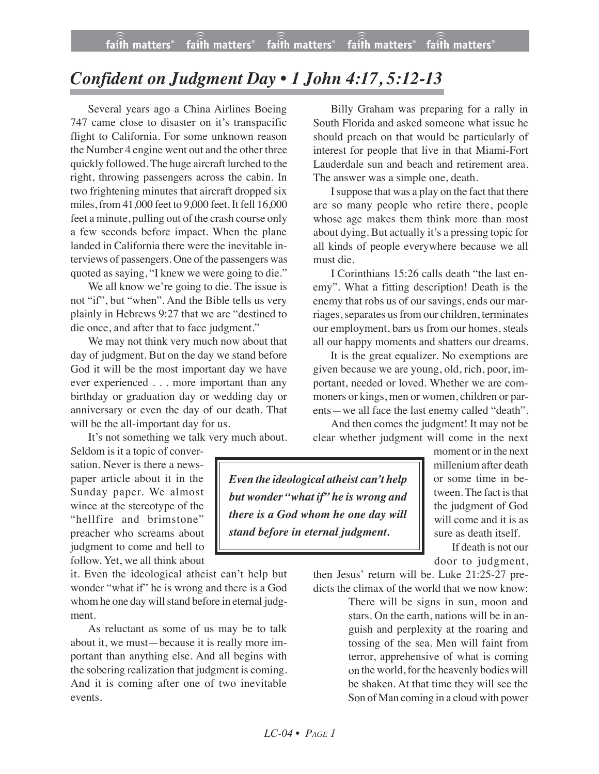## *Confident on Judgment Day • 1 John 4:17, 5:12-13*

Several years ago a China Airlines Boeing 747 came close to disaster on it's transpacific flight to California. For some unknown reason the Number 4 engine went out and the other three quickly followed. The huge aircraft lurched to the right, throwing passengers across the cabin. In two frightening minutes that aircraft dropped six miles, from 41,000 feet to 9,000 feet. It fell 16,000 feet a minute, pulling out of the crash course only a few seconds before impact. When the plane landed in California there were the inevitable interviews of passengers. One of the passengers was quoted as saying, "I knew we were going to die."

We all know we're going to die. The issue is not "if", but "when". And the Bible tells us very plainly in Hebrews 9:27 that we are "destined to die once, and after that to face judgment."

We may not think very much now about that day of judgment. But on the day we stand before God it will be the most important day we have ever experienced . . . more important than any birthday or graduation day or wedding day or anniversary or even the day of our death. That will be the all-important day for us.

It's not something we talk very much about.

Seldom is it a topic of conversation. Never is there a newspaper article about it in the Sunday paper. We almost wince at the stereotype of the "hellfire and brimstone" preacher who screams about judgment to come and hell to follow. Yet, we all think about

it. Even the ideological atheist can't help but wonder "what if" he is wrong and there is a God whom he one day will stand before in eternal judgment.

As reluctant as some of us may be to talk about it, we must—because it is really more important than anything else. And all begins with the sobering realization that judgment is coming. And it is coming after one of two inevitable events.

Billy Graham was preparing for a rally in South Florida and asked someone what issue he should preach on that would be particularly of interest for people that live in that Miami-Fort Lauderdale sun and beach and retirement area. The answer was a simple one, death.

I suppose that was a play on the fact that there are so many people who retire there, people whose age makes them think more than most about dying. But actually it's a pressing topic for all kinds of people everywhere because we all must die.

I Corinthians 15:26 calls death "the last enemy". What a fitting description! Death is the enemy that robs us of our savings, ends our marriages, separates us from our children, terminates our employment, bars us from our homes, steals all our happy moments and shatters our dreams.

It is the great equalizer. No exemptions are given because we are young, old, rich, poor, important, needed or loved. Whether we are commoners or kings, men or women, children or parents—we all face the last enemy called "death".

And then comes the judgment! It may not be clear whether judgment will come in the next

*Even the ideological atheist can't help but wonder "what if" he is wrong and there is a God whom he one day will stand before in eternal judgment.*

moment or in the next millenium after death or some time in between. The fact is that the judgment of God will come and it is as sure as death itself.

If death is not our door to judgment,

then Jesus' return will be. Luke 21:25-27 predicts the climax of the world that we now know:

> There will be signs in sun, moon and stars. On the earth, nations will be in anguish and perplexity at the roaring and tossing of the sea. Men will faint from terror, apprehensive of what is coming on the world, for the heavenly bodies will be shaken. At that time they will see the Son of Man coming in a cloud with power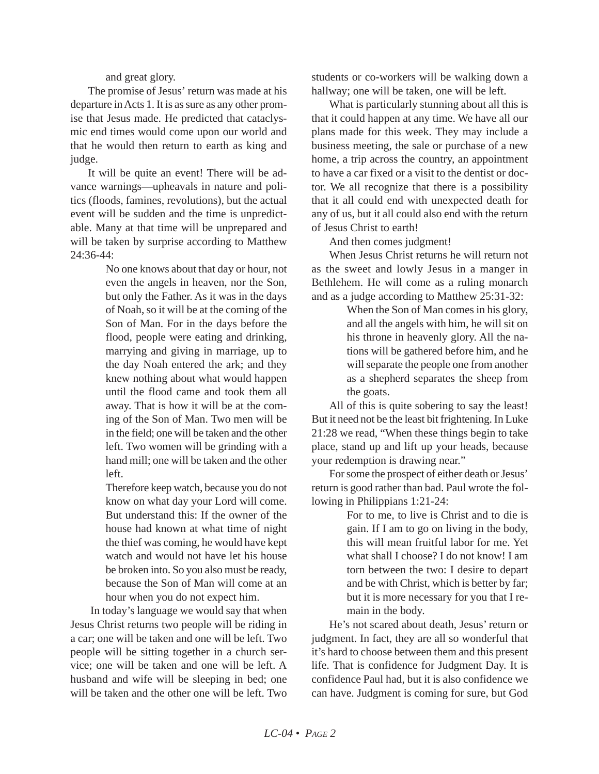and great glory.

The promise of Jesus' return was made at his departure in Acts 1. It is as sure as any other promise that Jesus made. He predicted that cataclysmic end times would come upon our world and that he would then return to earth as king and judge.

It will be quite an event! There will be advance warnings—upheavals in nature and politics (floods, famines, revolutions), but the actual event will be sudden and the time is unpredictable. Many at that time will be unprepared and will be taken by surprise according to Matthew 24:36-44:

> No one knows about that day or hour, not even the angels in heaven, nor the Son, but only the Father. As it was in the days of Noah, so it will be at the coming of the Son of Man. For in the days before the flood, people were eating and drinking, marrying and giving in marriage, up to the day Noah entered the ark; and they knew nothing about what would happen until the flood came and took them all away. That is how it will be at the coming of the Son of Man. Two men will be in the field; one will be taken and the other left. Two women will be grinding with a hand mill; one will be taken and the other left.

> Therefore keep watch, because you do not know on what day your Lord will come. But understand this: If the owner of the house had known at what time of night the thief was coming, he would have kept watch and would not have let his house be broken into. So you also must be ready, because the Son of Man will come at an hour when you do not expect him.

In today's language we would say that when Jesus Christ returns two people will be riding in a car; one will be taken and one will be left. Two people will be sitting together in a church service; one will be taken and one will be left. A husband and wife will be sleeping in bed; one will be taken and the other one will be left. Two students or co-workers will be walking down a hallway; one will be taken, one will be left.

What is particularly stunning about all this is that it could happen at any time. We have all our plans made for this week. They may include a business meeting, the sale or purchase of a new home, a trip across the country, an appointment to have a car fixed or a visit to the dentist or doctor. We all recognize that there is a possibility that it all could end with unexpected death for any of us, but it all could also end with the return of Jesus Christ to earth!

And then comes judgment!

When Jesus Christ returns he will return not as the sweet and lowly Jesus in a manger in Bethlehem. He will come as a ruling monarch and as a judge according to Matthew 25:31-32:

> When the Son of Man comes in his glory, and all the angels with him, he will sit on his throne in heavenly glory. All the nations will be gathered before him, and he will separate the people one from another as a shepherd separates the sheep from the goats.

All of this is quite sobering to say the least! But it need not be the least bit frightening. In Luke 21:28 we read, "When these things begin to take place, stand up and lift up your heads, because your redemption is drawing near."

For some the prospect of either death or Jesus' return is good rather than bad. Paul wrote the following in Philippians 1:21-24:

> For to me, to live is Christ and to die is gain. If I am to go on living in the body, this will mean fruitful labor for me. Yet what shall I choose? I do not know! I am torn between the two: I desire to depart and be with Christ, which is better by far; but it is more necessary for you that I remain in the body.

He's not scared about death, Jesus' return or judgment. In fact, they are all so wonderful that it's hard to choose between them and this present life. That is confidence for Judgment Day. It is confidence Paul had, but it is also confidence we can have. Judgment is coming for sure, but God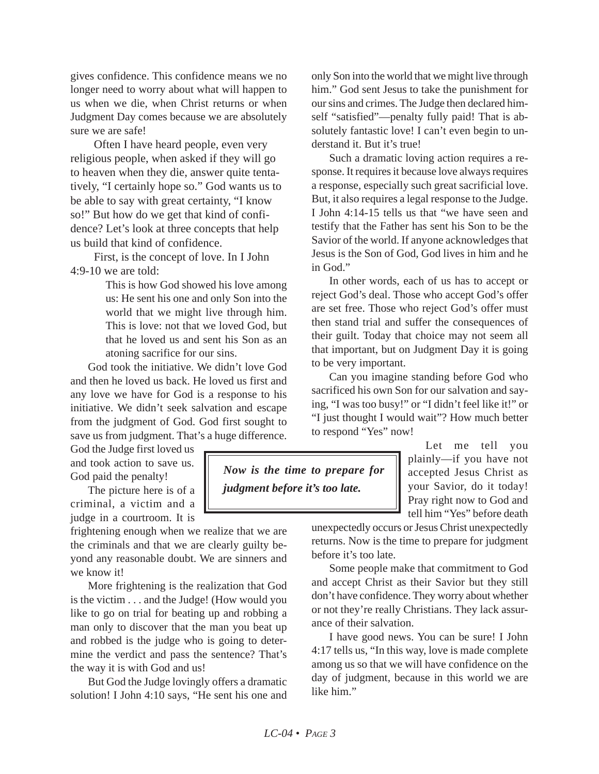gives confidence. This confidence means we no longer need to worry about what will happen to us when we die, when Christ returns or when Judgment Day comes because we are absolutely sure we are safe!

Often I have heard people, even very religious people, when asked if they will go to heaven when they die, answer quite tentatively, "I certainly hope so." God wants us to be able to say with great certainty, "I know so!" But how do we get that kind of confidence? Let's look at three concepts that help us build that kind of confidence.

First, is the concept of love. In I John 4:9-10 we are told:

> This is how God showed his love among us: He sent his one and only Son into the world that we might live through him. This is love: not that we loved God, but that he loved us and sent his Son as an atoning sacrifice for our sins.

God took the initiative. We didn't love God and then he loved us back. He loved us first and any love we have for God is a response to his initiative. We didn't seek salvation and escape from the judgment of God. God first sought to save us from judgment. That's a huge difference.

God the Judge first loved us and took action to save us. God paid the penalty!

The picture here is of a criminal, a victim and a judge in a courtroom. It is

frightening enough when we realize that we are the criminals and that we are clearly guilty beyond any reasonable doubt. We are sinners and we know it!

More frightening is the realization that God is the victim . . . and the Judge! (How would you like to go on trial for beating up and robbing a man only to discover that the man you beat up and robbed is the judge who is going to determine the verdict and pass the sentence? That's the way it is with God and us!

But God the Judge lovingly offers a dramatic solution! I John 4:10 says, "He sent his one and only Son into the world that we might live through him." God sent Jesus to take the punishment for our sins and crimes. The Judge then declared himself "satisfied"—penalty fully paid! That is absolutely fantastic love! I can't even begin to understand it. But it's true!

Such a dramatic loving action requires a response. It requires it because love always requires a response, especially such great sacrificial love. But, it also requires a legal response to the Judge. I John 4:14-15 tells us that "we have seen and testify that the Father has sent his Son to be the Savior of the world. If anyone acknowledges that Jesus is the Son of God, God lives in him and he in God."

In other words, each of us has to accept or reject God's deal. Those who accept God's offer are set free. Those who reject God's offer must then stand trial and suffer the consequences of their guilt. Today that choice may not seem all that important, but on Judgment Day it is going to be very important.

Can you imagine standing before God who sacrificed his own Son for our salvation and saying, "I was too busy!" or "I didn't feel like it!" or "I just thought I would wait"? How much better to respond "Yes" now!

> Let me tell you plainly—if you have not accepted Jesus Christ as your Savior, do it today! Pray right now to God and tell him "Yes" before death

unexpectedly occurs or Jesus Christ unexpectedly returns. Now is the time to prepare for judgment before it's too late.

Some people make that commitment to God and accept Christ as their Savior but they still don't have confidence. They worry about whether or not they're really Christians. They lack assurance of their salvation.

I have good news. You can be sure! I John 4:17 tells us, "In this way, love is made complete among us so that we will have confidence on the day of judgment, because in this world we are like him."

*Now is the time to prepare for judgment before it's too late.*